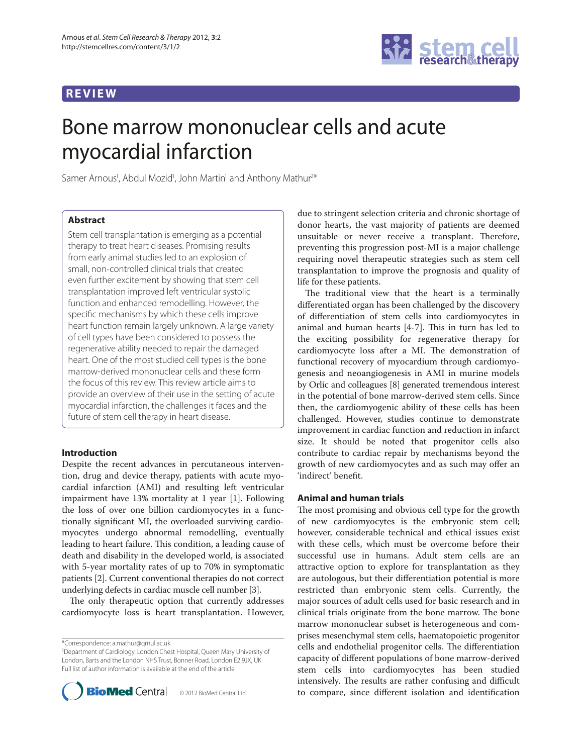## **REVIEW**



# Bone marrow mononuclear cells and acute myocardial infarction

Samer Arnous<sup>1</sup>, Abdul Mozid<sup>1</sup>, John Martin<sup>1</sup> and Anthony Mathur<sup>2\*</sup>

## **Abstract**

Stem cell transplantation is emerging as a potential therapy to treat heart diseases. Promising results from early animal studies led to an explosion of small, non-controlled clinical trials that created even further excitement by showing that stem cell transplantation improved left ventricular systolic function and enhanced remodelling. However, the specific mechanisms by which these cells improve heart function remain largely unknown. A large variety of cell types have been considered to possess the regenerative ability needed to repair the damaged heart. One of the most studied cell types is the bone marrow-derived mononuclear cells and these form the focus of this review. This review article aims to provide an overview of their use in the setting of acute myocardial infarction, the challenges it faces and the future of stem cell therapy in heart disease.

#### **Introduction**

Despite the recent advances in percutaneous intervention, drug and device therapy, patients with acute myocardial infarction (AMI) and resulting left ventricular impairment have 13% mortality at 1 year [1]. Following the loss of over one billion cardiomyocytes in a functionally significant MI, the overloaded surviving cardiomyocytes undergo abnormal remodelling, eventually leading to heart failure. This condition, a leading cause of death and disability in the developed world, is associated with 5-year mortality rates of up to 70% in symptomatic patients [2]. Current conventional therapies do not correct underlying defects in cardiac muscle cell number [3].

The only therapeutic option that currently addresses cardiomyocyte loss is heart transplantation. However,

\*Correspondence: a.mathur@qmul.ac.uk

<sup>2</sup> Department of Cardiology, London Chest Hospital, Queen Mary University of London, Barts and the London NHS Trust, Bonner Road, London E2 9JX, UK Full list of author information is available at the end of the article



due to stringent selection criteria and chronic shortage of donor hearts, the vast majority of patients are deemed unsuitable or never receive a transplant. Therefore, preventing this progression post-MI is a major challenge requiring novel therapeutic strategies such as stem cell transplantation to improve the prognosis and quality of life for these patients.

The traditional view that the heart is a terminally differentiated organ has been challenged by the discovery of differentiation of stem cells into cardiomyocytes in animal and human hearts  $[4-7]$ . This in turn has led to the exciting possibility for regenerative therapy for cardiomyocyte loss after a MI. The demonstration of functional recovery of myocardium through cardiomyogenesis and neoangiogenesis in AMI in murine models by Orlic and colleagues [8] generated tremendous interest in the potential of bone marrow-derived stem cells. Since then, the cardiomyogenic ability of these cells has been challenged. However, studies continue to demonstrate improvement in cardiac function and reduction in infarct size. It should be noted that progenitor cells also contribute to cardiac repair by mechanisms beyond the growth of new cardiomyocytes and as such may offer an 'indirect' benefit.

#### **Animal and human trials**

The most promising and obvious cell type for the growth of new cardiomyocytes is the embryonic stem cell; however, considerable technical and ethical issues exist with these cells, which must be overcome before their successful use in humans. Adult stem cells are an attractive option to explore for transplantation as they are autologous, but their differentiation potential is more restricted than embryonic stem cells. Currently, the major sources of adult cells used for basic research and in clinical trials originate from the bone marrow. The bone marrow mononuclear subset is heterogeneous and comprises mesenchymal stem cells, haematopoietic progenitor cells and endothelial progenitor cells. The differentiation capacity of different populations of bone marrow-derived stem cells into cardiomyocytes has been studied intensively. The results are rather confusing and difficult to compare, since different isolation and identification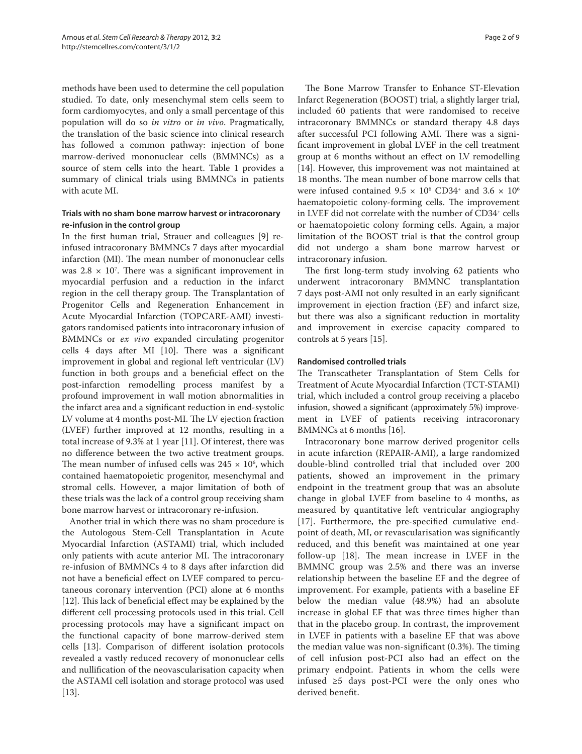methods have been used to determine the cell population studied. To date, only mesenchymal stem cells seem to form cardiomyocytes, and only a small percentage of this population will do so *in vitro* or *in vivo*. Pragmatically, the translation of the basic science into clinical research has followed a common pathway: injection of bone marrow-derived mononuclear cells (BMMNCs) as a source of stem cells into the heart. Table 1 provides a summary of clinical trials using BMMNCs in patients with acute MI.

### **Trials with no sham bone marrow harvest or intracoronary re-infusion in the control group**

In the first human trial, Strauer and colleagues [9] reinfused intracoronary BMMNCs 7 days after myocardial infarction (MI). The mean number of mononuclear cells was  $2.8 \times 10^7$ . There was a significant improvement in myocardial perfusion and a reduction in the infarct region in the cell therapy group. The Transplantation of Progenitor Cells and Regeneration Enhancement in Acute Myocardial Infarction (TOPCARE-AMI) investigators randomised patients into intracoronary infusion of BMMNCs or *ex vivo* expanded circulating progenitor cells  $4$  days after MI [10]. There was a significant improvement in global and regional left ventricular (LV) function in both groups and a beneficial effect on the post-infarction remodelling process manifest by a profound improvement in wall motion abnormalities in the infarct area and a significant reduction in end-systolic LV volume at 4 months post-MI. The LV ejection fraction (LVEF) further improved at 12 months, resulting in a total increase of 9.3% at 1 year [11]. Of interest, there was no difference between the two active treatment groups. The mean number of infused cells was  $245 \times 10^6$ , which contained haematopoietic progenitor, mesenchymal and stromal cells. However, a major limitation of both of these trials was the lack of a control group receiving sham bone marrow harvest or intracoronary re-infusion.

Another trial in which there was no sham procedure is the Autologous Stem-Cell Transplantation in Acute Myocardial Infarction (ASTAMI) trial, which included only patients with acute anterior MI. The intracoronary re-infusion of BMMNCs 4 to 8 days after infarction did not have a beneficial effect on LVEF compared to percutaneous coronary intervention (PCI) alone at 6 months [12]. This lack of beneficial effect may be explained by the different cell processing protocols used in this trial. Cell processing protocols may have a significant impact on the functional capacity of bone marrow-derived stem cells [13]. Comparison of different isolation protocols revealed a vastly reduced recovery of mononuclear cells and nullification of the neovascularisation capacity when the ASTAMI cell isolation and storage protocol was used [13].

The Bone Marrow Transfer to Enhance ST-Elevation Infarct Regeneration (BOOST) trial, a slightly larger trial, included 60 patients that were randomised to receive intracoronary BMMNCs or standard therapy 4.8 days after successful PCI following AMI. There was a significant improvement in global LVEF in the cell treatment group at 6 months without an effect on LV remodelling [14]. However, this improvement was not maintained at 18 months. The mean number of bone marrow cells that were infused contained  $9.5 \times 10^6$  CD34<sup>+</sup> and  $3.6 \times 10^6$ haematopoietic colony-forming cells. The improvement in LVEF did not correlate with the number of CD34<sup>+</sup> cells or haematopoietic colony forming cells. Again, a major limitation of the BOOST trial is that the control group did not undergo a sham bone marrow harvest or intracoronary infusion.

The first long-term study involving 62 patients who underwent intracoronary BMMNC transplantation 7 days post-AMI not only resulted in an early significant improvement in ejection fraction (EF) and infarct size, but there was also a significant reduction in mortality and improvement in exercise capacity compared to controls at 5 years [15].

#### **Randomised controlled trials**

The Transcatheter Transplantation of Stem Cells for Treatment of Acute Myocardial Infarction (TCT-STAMI) trial, which included a control group receiving a placebo infusion, showed a significant (approximately 5%) improvement in LVEF of patients receiving intracoronary BMMNCs at 6 months [16].

Intracoronary bone marrow derived progenitor cells in acute infarction (REPAIR-AMI), a large randomized double-blind controlled trial that included over 200 patients, showed an improvement in the primary endpoint in the treatment group that was an absolute change in global LVEF from baseline to 4 months, as measured by quantitative left ventricular angiography [17]. Furthermore, the pre-specified cumulative endpoint of death, MI, or revascularisation was significantly reduced, and this benefit was maintained at one year follow-up  $[18]$ . The mean increase in LVEF in the BMMNC group was 2.5% and there was an inverse relationship between the baseline EF and the degree of improvement. For example, patients with a baseline EF below the median value (48.9%) had an absolute increase in global EF that was three times higher than that in the placebo group. In contrast, the improvement in LVEF in patients with a baseline EF that was above the median value was non-significant  $(0.3%)$ . The timing of cell infusion post-PCI also had an effect on the primary endpoint. Patients in whom the cells were infused  $≥5$  days post-PCI were the only ones who derived benefit.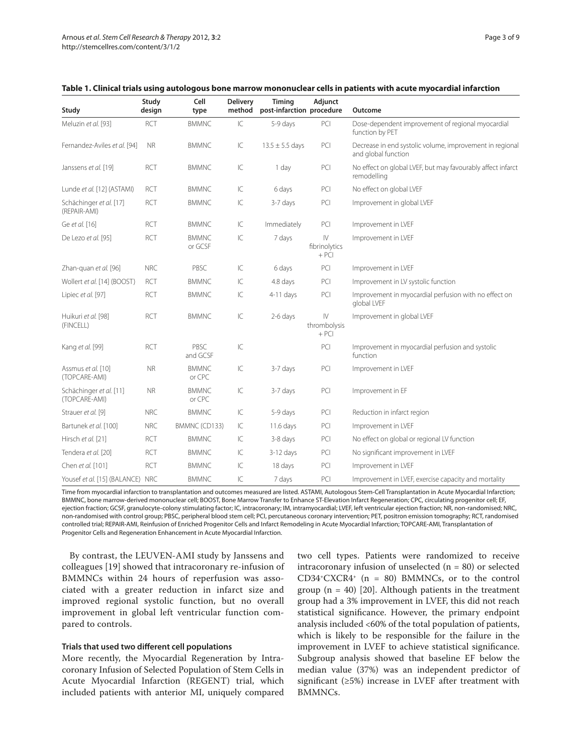| Study                                    | Study<br>design | Cell<br>type            | <b>Delivery</b><br>method | Timing<br>post-infarction procedure | Adjunct                                            | Outcome                                                                         |
|------------------------------------------|-----------------|-------------------------|---------------------------|-------------------------------------|----------------------------------------------------|---------------------------------------------------------------------------------|
| Meluzin et al. [93]                      | <b>RCT</b>      | <b>BMMNC</b>            | IC                        | 5-9 days                            | PCI                                                | Dose-dependent improvement of regional myocardial<br>function by PET            |
| Fernandez-Aviles et al. [94]             | <b>NR</b>       | <b>BMMNC</b>            | IC                        | $13.5 \pm 5.5$ days                 | PCI                                                | Decrease in end systolic volume, improvement in regional<br>and global function |
| Janssens et al. [19]                     | <b>RCT</b>      | <b>BMMNC</b>            | IC                        | 1 day                               | PCI                                                | No effect on global LVEF, but may favourably affect infarct<br>remodelling      |
| Lunde et al. [12] (ASTAMI)               | <b>RCT</b>      | <b>BMMNC</b>            | IC                        | 6 days                              | PCI                                                | No effect on global LVEF                                                        |
| Schächinger et al. [17]<br>(REPAIR-AMI)  | <b>RCT</b>      | <b>BMMNC</b>            | IC                        | 3-7 days                            | PCI                                                | Improvement in global LVEF                                                      |
| Ge et al. [16]                           | <b>RCT</b>      | <b>BMMNC</b>            | IC                        | Immediately                         | PCI                                                | Improvement in LVEF                                                             |
| De Lezo et al. [95]                      | <b>RCT</b>      | <b>BMMNC</b><br>or GCSF | $\overline{\mathsf{C}}$   | 7 days                              | $\mathsf{I}\mathsf{V}$<br>fibrinolytics<br>$+ PCI$ | Improvement in LVEF                                                             |
| Zhan-quan et al. [96]                    | <b>NRC</b>      | PBSC                    | IC                        | 6 days                              | PCI                                                | Improvement in LVEF                                                             |
| Wollert et al. [14] (BOOST)              | <b>RCT</b>      | <b>BMMNC</b>            | IC                        | 4.8 days                            | PCI                                                | Improvement in LV systolic function                                             |
| Lipiec et al. [97]                       | <b>RCT</b>      | <b>BMMNC</b>            | $\ensuremath{ C}$         | $4-11$ days                         | PCI                                                | Improvement in myocardial perfusion with no effect on<br>global LVEF            |
| Huikuri et al. [98]<br>(FINCELL)         | <b>RCT</b>      | <b>BMMNC</b>            | IC                        | 2-6 days                            | $\mathsf{IV}$<br>thrombolysis<br>$+ PCI$           | Improvement in global LVEF                                                      |
| Kang et al. [99]                         | <b>RCT</b>      | PBSC<br>and GCSF        | IC                        |                                     | PCI                                                | Improvement in myocardial perfusion and systolic<br>function                    |
| Assmus et al. [10]<br>(TOPCARE-AMI)      | <b>NR</b>       | <b>BMMNC</b><br>or CPC  | IC                        | 3-7 days                            | PCI                                                | Improvement in LVEF                                                             |
| Schächinger et al. [11]<br>(TOPCARE-AMI) | <b>NR</b>       | <b>BMMNC</b><br>or CPC  | IC                        | 3-7 days                            | PCI                                                | Improvement in EF                                                               |
| Strauer et al. [9]                       | <b>NRC</b>      | <b>BMMNC</b>            | IC                        | 5-9 days                            | PCI                                                | Reduction in infarct region                                                     |
| Bartunek et al. [100]                    | <b>NRC</b>      | BMMNC (CD133)           | IC                        | 11.6 days                           | PCI                                                | Improvement in LVEF                                                             |
| Hirsch et al. [21]                       | <b>RCT</b>      | <b>BMMNC</b>            | IC                        | 3-8 days                            | PCI                                                | No effect on global or regional LV function                                     |
| Tendera et al. [20]                      | <b>RCT</b>      | <b>BMMNC</b>            | IC                        | $3-12$ days                         | PCI                                                | No significant improvement in LVEF                                              |
| Chen et al. [101]                        | <b>RCT</b>      | <b>BMMNC</b>            | IC                        | 18 days                             | PCI                                                | Improvement in LVEF                                                             |
| Yousef et al. [15] (BALANCE) NRC         |                 | <b>BMMNC</b>            | $\overline{\mathsf{C}}$   | 7 days                              | PCI                                                | Improvement in LVEF, exercise capacity and mortality                            |

Time from myocardial infarction to transplantation and outcomes measured are listed. ASTAMI, Autologous Stem-Cell Transplantation in Acute Myocardial Infarction; BMMNC, bone marrow-derived mononuclear cell; BOOST, Bone Marrow Transfer to Enhance ST-Elevation Infarct Regeneration; CPC, circulating progenitor cell; EF, ejection fraction; GCSF, granulocyte-colony stimulating factor; IC, intracoronary; IM, intramyocardial; LVEF, left ventricular ejection fraction; NR, non-randomised; NRC, non-randomised with control group; PBSC, peripheral blood stem cell; PCI, percutaneous coronary intervention; PET, positron emission tomography; RCT, randomised controlled trial; REPAIR-AMI, Reinfusion of Enriched Progenitor Cells and Infarct Remodeling in Acute Myocardial Infarction; TOPCARE-AMI, Transplantation of Progenitor Cells and Regeneration Enhancement in Acute Myocardial Infarction.

By contrast, the LEUVEN-AMI study by Janssens and colleagues [19] showed that intracoronary re-infusion of BMMNCs within 24 hours of reperfusion was associated with a greater reduction in infarct size and improved regional systolic function, but no overall improve ment in global left ventricular function compared to controls.

#### **Trials that used two different cell populations**

More recently, the Myocardial Regeneration by Intracoronary Infusion of Selected Population of Stem Cells in Acute Myocardial Infarction (REGENT) trial, which included patients with anterior MI, uniquely compared two cell types. Patients were randomized to receive intracoronary infusion of unselected  $(n = 80)$  or selected CD34+CXCR4+  $(n = 80)$  BMMNCs, or to the control group  $(n = 40)$  [20]. Although patients in the treatment group had a 3% improvement in LVEF, this did not reach statistical significance. However, the primary endpoint analysis included <60% of the total population of patients, which is likely to be responsible for the failure in the improvement in LVEF to achieve statistical significance. Subgroup analysis showed that baseline EF below the median value (37%) was an independent predictor of significant  $(\geq 5\%)$  increase in LVEF after treatment with BMMNCs.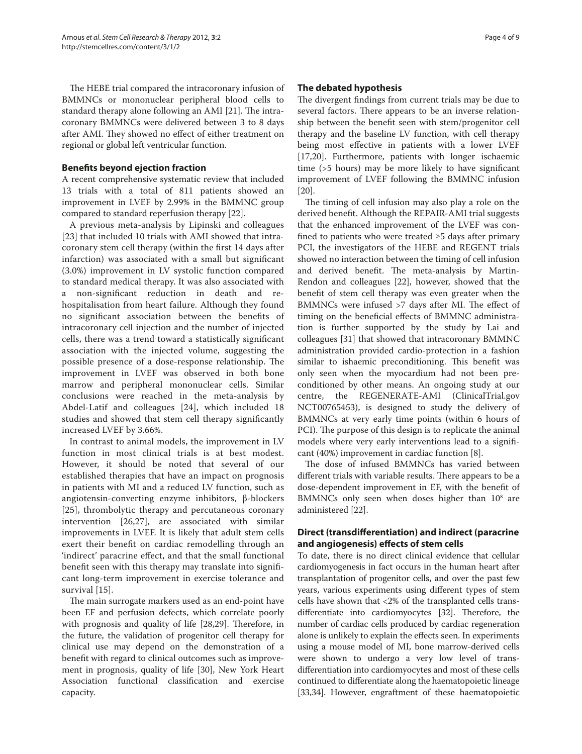The HEBE trial compared the intracoronary infusion of BMMNCs or mononuclear peripheral blood cells to standard therapy alone following an AMI [21]. The intracoronary BMMNCs were delivered between 3 to 8 days after AMI. They showed no effect of either treatment on regional or global left ventricular function.

## **Benefits beyond ejection fraction**

A recent comprehensive systematic review that included 13 trials with a total of 811 patients showed an improvement in LVEF by 2.99% in the BMMNC group compared to standard reperfusion therapy [22].

A previous meta-analysis by Lipinski and colleagues [23] that included 10 trials with AMI showed that intracoronary stem cell therapy (within the first 14 days after infarction) was associated with a small but significant (3.0%) improvement in LV systolic function compared to standard medical therapy. It was also associated with a non-significant reduction in death and rehospitalisation from heart failure. Although they found no significant association between the benefits of intracoronary cell injection and the number of injected cells, there was a trend toward a statistically significant association with the injected volume, suggesting the possible presence of a dose-response relationship. The improvement in LVEF was observed in both bone marrow and peripheral mononuclear cells. Similar conclusions were reached in the meta-analysis by Abdel-Latif and colleagues [24], which included 18 studies and showed that stem cell therapy significantly increased LVEF by 3.66%.

In contrast to animal models, the improvement in LV function in most clinical trials is at best modest. However, it should be noted that several of our established therapies that have an impact on prognosis in patients with MI and a reduced LV function, such as angiotensin-converting enzyme inhibitors, β-blockers [25], thrombolytic therapy and percutaneous coronary intervention [26,27], are associated with similar improve ments in LVEF. It is likely that adult stem cells exert their benefit on cardiac remodelling through an 'indirect' paracrine effect, and that the small functional benefit seen with this therapy may translate into significant long-term improvement in exercise tolerance and survival [15].

The main surrogate markers used as an end-point have been EF and perfusion defects, which correlate poorly with prognosis and quality of life [28,29]. Therefore, in the future, the validation of progenitor cell therapy for clinical use may depend on the demonstration of a benefit with regard to clinical outcomes such as improvement in prognosis, quality of life [30], New York Heart Association functional classification and exercise capacity.

### **The debated hypothesis**

The divergent findings from current trials may be due to several factors. There appears to be an inverse relationship between the benefit seen with stem/progenitor cell therapy and the baseline LV function, with cell therapy being most effective in patients with a lower LVEF [17,20]. Furthermore, patients with longer ischaemic time  $(55$  hours) may be more likely to have significant improve ment of LVEF following the BMMNC infusion [20].

The timing of cell infusion may also play a role on the derived benefit. Although the REPAIR-AMI trial suggests that the enhanced improvement of the LVEF was confined to patients who were treated  $\geq$ 5 days after primary PCI, the investigators of the HEBE and REGENT trials showed no interaction between the timing of cell infusion and derived benefit. The meta-analysis by Martin-Rendon and colleagues [22], however, showed that the benefit of stem cell therapy was even greater when the BMMNCs were infused >7 days after MI. The effect of timing on the beneficial effects of BMMNC administration is further supported by the study by Lai and colleagues [31] that showed that intracoronary BMMNC administration provided cardio-protection in a fashion similar to ishaemic preconditioning. This benefit was only seen when the myocardium had not been preconditioned by other means. An ongoing study at our centre, the REGENERATE-AMI (ClinicalTrial.gov NCT00765453), is designed to study the delivery of BMMNCs at very early time points (within 6 hours of PCI). The purpose of this design is to replicate the animal models where very early interventions lead to a significant (40%) improvement in cardiac function [8].

The dose of infused BMMNCs has varied between different trials with variable results. There appears to be a dose-dependent improvement in EF, with the benefit of BMMNCs only seen when doses higher than 10<sup>8</sup> are administered [22].

## **Direct (transdifferentiation) and indirect (paracrine** and angiogenesis) effects of stem cells

To date, there is no direct clinical evidence that cellular cardiomyogenesis in fact occurs in the human heart after transplantation of progenitor cells, and over the past few years, various experiments using different types of stem cells have shown that <2% of the transplanted cells transdifferentiate into cardiomyocytes [32]. Therefore, the number of cardiac cells produced by cardiac regeneration alone is unlikely to explain the effects seen. In experiments using a mouse model of MI, bone marrow-derived cells were shown to undergo a very low level of transdifferentiation into cardiomy ocytes and most of these cells continued to differentiate along the haematopoietic lineage [33,34]. However, engraftment of these haematopoietic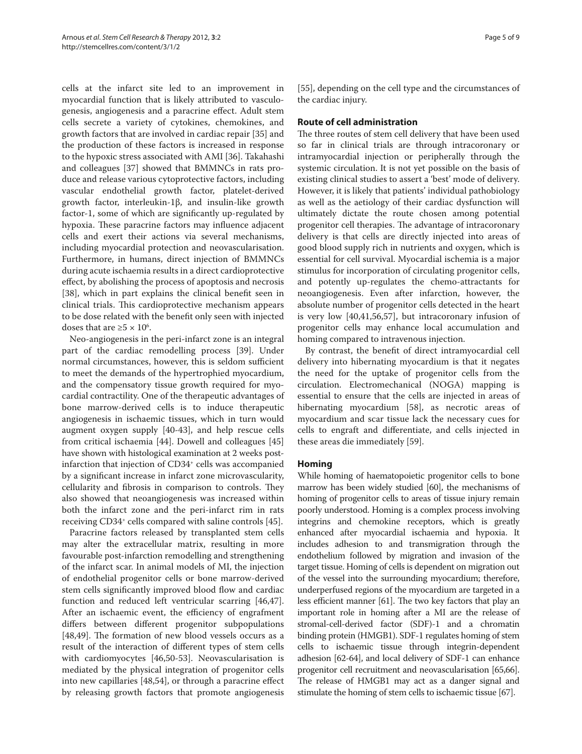cells at the infarct site led to an improvement in myocardial function that is likely attributed to vasculogenesis, angiogenesis and a paracrine effect. Adult stem cells secrete a variety of cytokines, chemokines, and growth factors that are involved in cardiac repair [35] and the production of these factors is increased in response to the hypoxic stress associated with AMI [36]. Takahashi and colleagues [37] showed that BMMNCs in rats produce and release various cytoprotective factors, including vascular endothelial growth factor, platelet-derived growth factor, interleukin-1β, and insulin-like growth factor-1, some of which are significantly up-regulated by hypoxia. These paracrine factors may influence adjacent cells and exert their actions via several mechanisms, including myocardial protection and neovascularisation. Furthermore, in humans, direct injection of BMMNCs during acute ischaemia results in a direct cardioprotective effect, by abolishing the process of apoptosis and necrosis [38], which in part explains the clinical benefit seen in clinical trials. This cardioprotective mechanism appears to be dose related with the benefit only seen with injected doses that are  $\geq 5 \times 10^6$ .

Neo-angiogenesis in the peri-infarct zone is an integral part of the cardiac remodelling process [39]. Under normal circumstances, however, this is seldom sufficient to meet the demands of the hypertrophied myocardium, and the compensatory tissue growth required for myocardial contractility. One of the therapeutic advantages of bone marrow-derived cells is to induce therapeutic angiogenesis in ischaemic tissues, which in turn would augment oxygen supply [40-43], and help rescue cells from critical ischaemia [44]. Dowell and colleagues [45] have shown with histological examination at 2 weeks postinfarction that injection of CD34+ cells was accompanied by a significant increase in infarct zone microvascularity, cellularity and fibrosis in comparison to controls. They also showed that neoangiogenesis was increased within both the infarct zone and the peri-infarct rim in rats receiving CD34+ cells compared with saline controls [45].

Paracrine factors released by transplanted stem cells may alter the extracellular matrix, resulting in more favourable post-infarction remodelling and strengthening of the infarct scar. In animal models of MI, the injection of endothelial progenitor cells or bone marrow-derived stem cells significantly improved blood flow and cardiac function and reduced left ventricular scarring [46,47]. After an ischaemic event, the efficiency of engrafment differs between different progenitor subpopulations  $[48,49]$ . The formation of new blood vessels occurs as a result of the interaction of different types of stem cells with cardiomyocytes [46,50-53]. Neovascularisation is mediated by the physical integration of progenitor cells into new capillaries  $[48,54]$ , or through a paracrine effect by releasing growth factors that promote angiogenesis

[55], depending on the cell type and the circumstances of the cardiac injury.

#### **Route of cell administration**

The three routes of stem cell delivery that have been used so far in clinical trials are through intracoronary or intramyocardial injection or peripherally through the systemic circulation. It is not yet possible on the basis of existing clinical studies to assert a 'best' mode of delivery. However, it is likely that patients' individual pathobiology as well as the aetiology of their cardiac dysfunction will ultimately dictate the route chosen among potential progenitor cell therapies. The advantage of intracoronary delivery is that cells are directly injected into areas of good blood supply rich in nutrients and oxygen, which is essential for cell survival. Myocardial ischemia is a major stimulus for incorporation of circulating progenitor cells, and potently up-regulates the chemo-attractants for neoangiogenesis. Even after infarction, however, the absolute number of progenitor cells detected in the heart is very low [40,41,56,57], but intracoronary infusion of progenitor cells may enhance local accumulation and homing compared to intravenous injection.

By contrast, the benefit of direct intramyocardial cell delivery into hibernating myocardium is that it negates the need for the uptake of progenitor cells from the circulation. Electromechanical (NOGA) mapping is essential to ensure that the cells are injected in areas of hibernating myocardium [58], as necrotic areas of myocardium and scar tissue lack the necessary cues for cells to engraft and differentiate, and cells injected in these areas die immediately [59].

## **Homing**

While homing of haematopoietic progenitor cells to bone marrow has been widely studied [60], the mechanisms of homing of progenitor cells to areas of tissue injury remain poorly understood. Homing is a complex process involving integrins and chemokine receptors, which is greatly enhanced after myocardial ischaemia and hypoxia. It includes adhesion to and transmigration through the endothelium followed by migration and invasion of the target tissue. Homing of cells is dependent on migration out of the vessel into the surrounding myocardium; therefore, underperfused regions of the myocardium are targeted in a less efficient manner [61]. The two key factors that play an important role in homing after a MI are the release of stromal-cell-derived factor (SDF)-1 and a chromatin binding protein (HMGB1). SDF-1 regulates homing of stem cells to ischaemic tissue through integrin-dependent adhesion [62-64], and local delivery of SDF-1 can enhance progenitor cell recruitment and neovascularization [65,66]. The release of HMGB1 may act as a danger signal and stimulate the homing of stem cells to ischaemic tissue [67].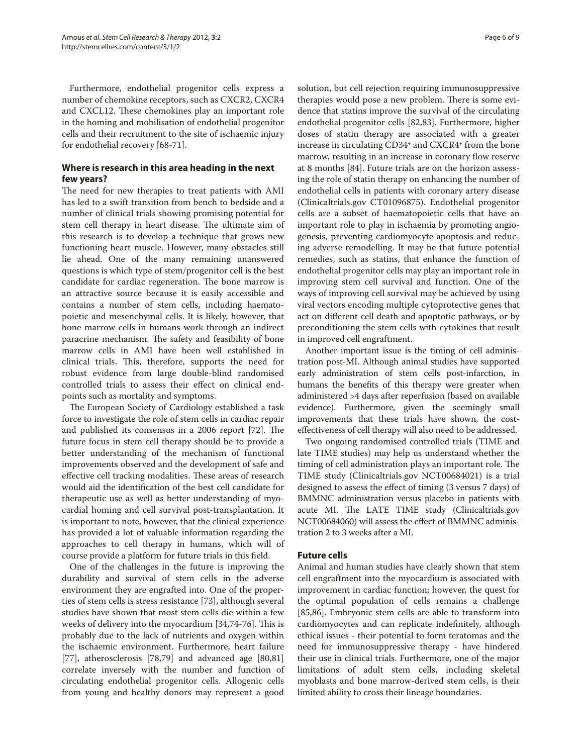Furthermore, endothelial progenitor cells express a number of chemokine receptors, such as CXCR2, CXCR4 and CXCL12. These chemokines play an important role in the homing and mobilisation of endothelial progenitor cells and their recruitment to the site of ischaemic injury for endothelial recovery [68-71].

## **Where is research in this area heading in the next few years?**

The need for new therapies to treat patients with AMI has led to a swift transition from bench to bedside and a number of clinical trials showing promising potential for stem cell therapy in heart disease. The ultimate aim of this research is to develop a technique that grows new functioning heart muscle. However, many obstacles still lie ahead. One of the many remaining unanswered questions is which type of stem/progenitor cell is the best candidate for cardiac regeneration. The bone marrow is an attractive source because it is easily accessible and contains a number of stem cells, including haematopoietic and mesenchymal cells. It is likely, however, that bone marrow cells in humans work through an indirect paracrine mechanism. The safety and feasibility of bone marrow cells in AMI have been well established in clinical trials. This, therefore, supports the need for robust evidence from large double-blind randomised controlled trials to assess their effect on clinical endpoints such as mortality and symptoms.

The European Society of Cardiology established a task force to investigate the role of stem cells in cardiac repair and published its consensus in a  $2006$  report  $[72]$ . The future focus in stem cell therapy should be to provide a better understanding of the mechanism of functional improvements observed and the development of safe and effective cell tracking modalities. These areas of research would aid the identification of the best cell candidate for therapeutic use as well as better understanding of myocardial homing and cell survival post-transplantation. It is important to note, however, that the clinical experience has provided a lot of valuable information regarding the approaches to cell therapy in humans, which will of course provide a platform for future trials in this field.

One of the challenges in the future is improving the durability and survival of stem cells in the adverse environment they are engrafted into. One of the properties of stem cells is stress resistance [73], although several studies have shown that most stem cells die within a few weeks of delivery into the myocardium [34,74-76]. This is probably due to the lack of nutrients and oxygen within the ischaemic environment. Furthermore, heart failure [77], atherosclerosis [78,79] and advanced age [80,81] correlate inversely with the number and function of circulating endothelial progenitor cells. Allogenic cells from young and healthy donors may represent a good solution, but cell rejection requiring immunosuppressive therapies would pose a new problem. There is some evidence that statins improve the survival of the circulating endothelial progenitor cells [82,83]. Furthermore, higher doses of statin therapy are associated with a greater increase in circulating CD34<sup>+</sup> and CXCR4<sup>+</sup> from the bone marrow, resulting in an increase in coronary flow reserve at 8 months [84]. Future trials are on the horizon assessing the role of statin therapy on enhancing the number of endothelial cells in patients with coronary artery disease (Clinicaltrials.gov CT01096875). Endothelial progenitor cells are a subset of haematopoietic cells that have an important role to play in ischaemia by promoting angiogenesis, preventing cardiomyocyte apoptosis and reducing adverse remodelling. It may be that future potential remedies, such as statins, that enhance the function of endothelial progenitor cells may play an important role in improving stem cell survival and function. One of the ways of improving cell survival may be achieved by using viral vectors encoding multiple cytoprotective genes that act on different cell death and apoptotic pathways, or by preconditioning the stem cells with cytokines that result in improved cell engraftment.

Another important issue is the timing of cell administration post-MI. Although animal studies have supported early administration of stem cells post-infarction, in humans the benefits of this therapy were greater when administered >4 days after reperfusion (based on available evidence). Furthermore, given the seemingly small improvements that these trials have shown, the costeffectiveness of cell therapy will also need to be addressed.

Two ongoing randomised controlled trials (TIME and late TIME studies) may help us understand whether the timing of cell administration plays an important role. The TIME study (Clinicaltrials.gov NCT00684021) is a trial designed to assess the effect of timing (3 versus 7 days) of BMMNC administration versus placebo in patients with acute MI. The LATE TIME study (Clinicaltrials.gov NCT00684060) will assess the effect of BMMNC administration 2 to 3 weeks after a MI.

## **Future cells**

Animal and human studies have clearly shown that stem cell engraftment into the myocardium is associated with improvement in cardiac function; however, the quest for the optimal population of cells remains a challenge [85,86]. Embryonic stem cells are able to transform into cardiomyocytes and can replicate indefinitely, although ethical issues - their potential to form teratomas and the need for immunosuppressive therapy - have hindered their use in clinical trials. Furthermore, one of the major limitations of adult stem cells, including skeletal myoblasts and bone marrow-derived stem cells, is their limited ability to cross their lineage boundaries.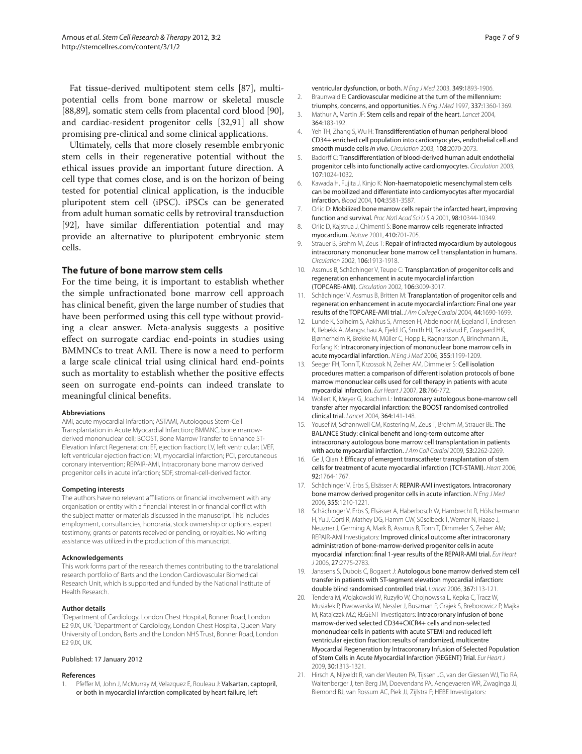Fat tissue-derived multipotent stem cells [87], multipotential cells from bone marrow or skeletal muscle [88,89], somatic stem cells from placental cord blood [90], and cardiac-resident progenitor cells [32,91] all show promising pre-clinical and some clinical applications.

Ultimately, cells that more closely resemble embryonic stem cells in their regenerative potential without the ethical issues provide an important future direction. A cell type that comes close, and is on the horizon of being tested for potential clinical application, is the inducible pluripotent stem cell (iPSC). iPSCs can be generated from adult human somatic cells by retroviral transduction [92], have similar differentiation potential and may provide an alternative to pluripotent embryonic stem cells.

#### **The future of bone marrow stem cells**

For the time being, it is important to establish whether the simple unfractionated bone marrow cell approach has clinical benefit, given the large number of studies that have been performed using this cell type without providing a clear answer. Meta-analysis suggests a positive effect on surrogate cardiac end-points in studies using BMMNCs to treat AMI. There is now a need to perform a large scale clinical trial using clinical hard end-points such as mortality to establish whether the positive effects seen on surrogate end-points can indeed translate to meaningful clinical benefits.

#### **Abbreviations**

AMI, acute myocardial infarction; ASTAMI, Autologous Stem-Cell Transplantation in Acute Myocardial Infarction; BMMNC, bone marrowderived mononuclear cell; BOOST, Bone Marrow Transfer to Enhance ST-Elevation Infarct Regeneration; EF, ejection fraction; LV, left ventricular; LVEF, left ventricular ejection fraction; MI, myocardial infarction; PCI, percutaneous coronary intervention; REPAIR-AMI, Intracoronary bone marrow derived progenitor cells in acute infarction; SDF, stromal-cell-derived factor.

#### **Competing interests**

The authors have no relevant affiliations or financial involvement with any organisation or entity with a financial interest in or financial conflict with the subject matter or materials discussed in the manuscript. This includes employment, consultancies, honoraria, stock ownership or options, expert testimony, grants or patents received or pending, or royalties. No writing assistance was utilized in the production of this manuscript.

#### **Acknowledgements**

This work forms part of the research themes contributing to the translational research portfolio of Barts and the London Cardiovascular Biomedical Research Unit, which is supported and funded by the National Institute of Health Research.

#### **Author details**

1 Department of Cardiology, London Chest Hospital, Bonner Road, London E2 9JX, UK. <sup>2</sup>Department of Cardiology, London Chest Hospital, Queen Mary University of London, Barts and the London NHS Trust, Bonner Road, London E2 9JX, UK.

#### Published: 17 January 2012

#### **References**

1. Pfeffer M, John J, McMurray M, Velazquez E, Rouleau J: Valsartan, captopril, or both in myocardial infarction complicated by heart failure, left

ventricular dysfunction, or both. N Eng J Med 2003, 349:1893-1906. 2. Braunwald E: Cardiovascular medicine at the turn of the millennium:

- triumphs, concerns, and opportunities. N Eng J Med 1997, 337:1360-1369. 3. Mathur A, Martin JF: Stem cells and repair of the heart. Lancet 2004,
- 364:183-192.
- 4. Yeh TH, Zhang S, Wu H: Transdifferentiation of human peripheral blood CD34+ enriched cell population into cardiomyocytes, endothelial cell and smooth muscle cells in vivo. Circulation 2003, 108:2070-2073.
- 5. Badorff C: Transdifferentiation of blood-derived human adult endothelial progenitor cells into functionally active cardiomyocytes. Circulation 2003, 107:1024-1032.
- Kawada H, Fujita J, Kinjo K: Non-haematopoietic mesenchymal stem cells can be mobilized and differentiate into cardiomyocytes after myocardial infarction. Blood 2004, 104:3581-3587.
- 7. Orlic D: Mobilized bone marrow cells repair the infarcted heart, improving function and survival. Proc Natl Acad Sci U S A 2001, 98:10344-10349.
- 8. Orlic D, Kaistrua J, Chimenti S: Bone marrow cells regenerate infracted myocardium. Nature 2001, 410:701-705.
- 9. Strauer B, Brehm M, Zeus T: Repair of infracted myocardium by autologous intracoronary mononuclear bone marrow cell transplantation in humans. Circulation 2002, 106:1913-1918.
- 10. Assmus B, Schächinger V, Teupe C: Transplantation of progenitor cells and regeneration enhancement in acute myocardial infarction (TOPCARE-AMI). Circulation 2002, 106:3009-3017.
- 11. Schächinger V, Assmus B, Britten M: Transplantation of progenitor cells and regeneration enhancement in acute myocardial infarction: Final one year results of the TOPCARE-AMI trial. J Am College Cardiol 2004, 44:1690-1699.
- 12. Lunde K, Solheim S, Aakhus S, Arnesen H, Abdelnoor M, Egeland T, Endresen K, Ilebekk A, Mangschau A, Fjeld JG, Smith HJ, Taraldsrud E, Grøgaard HK, Bjørnerheim R, Brekke M, Müller C, Hopp E, Ragnarsson A, Brinchmann JE, Forfang K: Intracoronary injection of mononuclear bone marrow cells in acute myocardial infarction. N Eng J Med 2006, 355:1199-1209.
- 13. Seeger FH, Tonn T, Krzossok N, Zeiher AM, Dimmeler S: Cell isolation procedures matter: a comparison of different isolation protocols of bone marrow mononuclear cells used for cell therapy in patients with acute myocardial infarction. Eur Heart J 2007, 28:766-772.
- 14. Wollert K, Meyer G, Joachim L: Intracoronary autologous bone-marrow cell transfer after myocardial infarction: the BOOST randomised controlled clinical trial. Lancet 2004, 364:141-148.
- 15. Yousef M, Schannwell CM, Kostering M, Zeus T, Brehm M, Strauer BE: The BALANCE Study: clinical benefit and long-term outcome after intracoronary autologous bone marrow cell transplantation in patients with acute myocardial infarction. JAm Coll Cardiol 2009, 53:2262-2269.
- 16. Ge J, Qian J: Efficacy of emergent transcatheter transplantation of stem cells for treatment of acute myocardial infarction (TCT-STAMI). Heart 2006, 92:1764-1767.
- 17. Schächinger V, Erbs S, Elsässer A: REPAIR-AMI investigators. Intracoronary bone marrow derived progenitor cells in acute infarction. N Eng J Med 2006, 355:1210-1221.
- 18. Schächinger V, Erbs S, Elsässer A, Haberbosch W, Hambrecht R, Hölschermann H, Yu J, Corti R, Mathey DG, Hamm CW, Süselbeck T, Werner N, Haase J, Neuzner J, Germing A, Mark B, Assmus B, Tonn T, Dimmeler S, Zeiher AM; REPAIR-AMI Investigators: Improved clinical outcome after intracoronary administration of bone-marrow-derived progenitor cells in acute myocardial infarction: final 1-year results of the REPAIR-AMI trial. Eur Heart J 2006, 27:2775-2783.
- 19. Janssens S, Dubois C, Bogaert J: Autologous bone marrow derived stem cell transfer in patients with ST-segment elevation myocardial infarction: double blind randomised controlled trial. Lancet 2006, 367:113-121.
- 20. Tendera M, Wojakowski W, Ruzyłło W, Chojnowska L, Kepka C, Tracz W, Musiałek P, Piwowarska W, Nessler J, Buszman P, Grajek S, Breborowicz P, Majka M, Ratajczak MZ; REGENT Investigators: Intracoronary infusion of bone marrow-derived selected CD34+CXCR4+ cells and non-selected mononuclear cells in patients with acute STEMI and reduced left ventricular ejection fraction: results of randomized, multicentre Myocardial Regeneration by Intracoronary Infusion of Selected Population of Stem Cells in Acute Myocardial Infarction (REGENT) Trial. Eur Heart J 2009, 30:1313-1321.
- 21. Hirsch A, Nijveldt R, van der Vleuten PA, Tijssen JG, van der Giessen WJ, Tio RA, Waltenberger J, ten Berg JM, Doevendans PA, Aengevaeren WR, Zwaginga JJ, Biemond BJ, van Rossum AC, Piek JJ, Zijlstra F; HEBE Investigators: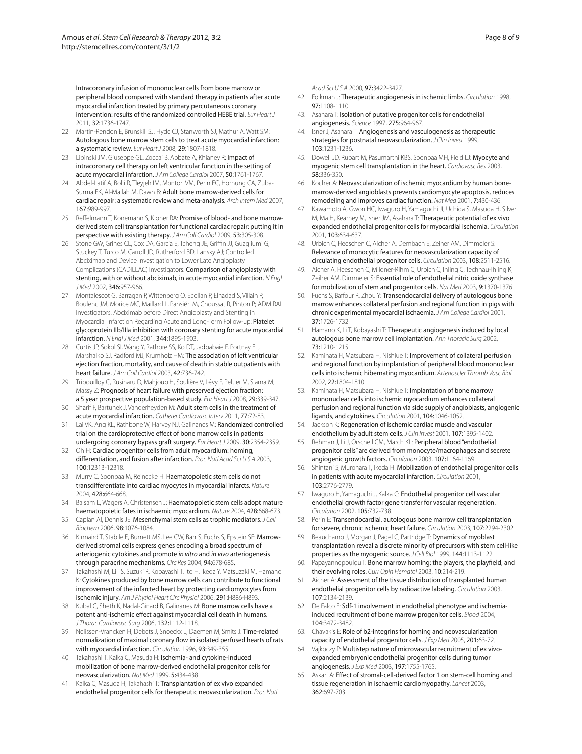Intracoronary infusion of mononuclear cells from bone marrow or peripheral blood compared with standard therapy in patients after acute myocardial infarction treated by primary percutaneous coronary intervention: results of the randomized controlled HEBE trial. Eur Heart J 2011, 32:1736-1747.

- 22. Martin-Rendon E, Brunskill SJ, Hyde CJ, Stanworth SJ, Mathur A, Watt SM: Autologous bone marrow stem cells to treat acute myocardial infarction: a systematic review. Eur Heart J 2008, 29:1807-1818.
- 23. Lipinski JM, Giuseppe GL, Zoccai B, Abbate A, Khianey R: Impact of intracoronary cell therapy on left ventricular function in the setting of acute myocardial infarction. J Am College Cardiol 2007, 50:1761-1767.
- 24. Abdel-Latif A, Bolli R, Tleyjeh IM, Montori VM, Perin EC, Hornung CA, Zuba-Surma EK, Al-Mallah M, Dawn B: Adult bone marrow-derived cells for cardiac repair: a systematic review and meta-analysis. Arch Intern Med 2007, 167:989-997.
- 25. Reffelmann T, Konemann S, Kloner RA: Promise of blood- and bone marrowderived stem cell transplantation for functional cardiac repair: putting it in perspective with existing therapy. J Am Coll Cardiol 2009, 53:305-308.
- 26. Stone GW, Grines CL, Cox DA, Garcia E, Tcheng JE, Griffin JJ, Guagliumi G, Stuckey T, Turco M, Carroll JD, Rutherford BD, Lansky AJ; Controlled Abciximab and Device Investigation to Lower Late Angioplasty Complications (CADILLAC) Investigators: Comparison of angioplasty with stenting, with or without abciximab, in acute myocardial infarction. N Engl J Med 2002, 346:957-966.
- 27. Montalescot G, Barragan P, Wittenberg O, Ecollan P, Elhadad S, Villain P, Boulenc JM, Morice MC, Maillard L, Pansiéri M, Choussat R, Pinton P; ADMIRAL Investigators. Abciximab before Direct Angioplasty and Stenting in Myocardial Infarction Regarding Acute and Long-Term Follow-up: Platelet glycoprotein IIb/IIIa inhibition with coronary stenting for acute myocardial infarction. N Engl J Med 2001, 344:1895-1903.
- 28. Curtis JP, Sokol SI, Wang Y, Rathore SS, Ko DT, Jadbabaie F, Portnay EL, Marshalko SJ, Radford MJ, Krumholz HM: The association of left ventricular ejection fraction, mortality, and cause of death in stable outpatients with heart failure. J Am Coll Cardiol 2003, 42:736-742.
- 29. Tribouilloy C, Rusinaru D, Mahjoub H, Soulière V, Lévy F, Peltier M, Slama M, Massy Z: Prognosis of heart failure with preserved ejection fraction: a 5 year prospective population-based study. Eur Heart J 2008, 29:339-347.
- 30. Sharif F, Bartunek J, Vanderheyden M: Adult stem cells in the treatment of acute myocardial infarction. Catheter Cardiovasc Interv 2011, 77:72-83.
- 31. Lai VK, Ang KL, Rathbone W, Harvey NJ, Galinanes M: Randomized controlled trial on the cardioprotective effect of bone marrow cells in patients undergoing coronary bypass graft surgery. Eur Heart J 2009, 30:2354-2359.
- 32. Oh H: Cardiac progenitor cells from adult myocardium: homing, differentiation, and fusion after infarction. Proc Natl Acad Sci U S A 2003, 100:12313-12318.
- 33. Murry C, Soonpaa M, Reinecke H: Haematopoietic stem cells do not transdifferentiate into cardiac myocytes in myocardial infarcts. Nature 2004, 428:664-668.
- 34. Balsam L, Wagers A, Christensen J: Haematopoietic stem cells adopt mature haematopoietic fates in ischaemic myocardium. Nature 2004, 428:668-673.
- 35. Caplan AI, Dennis JE: Mesenchymal stem cells as trophic mediators. J Cell Biochem 2006, 98:1076-1084.
- 36. Kinnaird T, Stabile E, Burnett MS, Lee CW, Barr S, Fuchs S, Epstein SE: Marrowderived stromal cells express genes encoding a broad spectrum of arteriogenic cytokines and promote in vitro and in vivo arteriogenesis through paracrine mechanisms. Circ Res 2004, 94:678-685.
- 37. Takahashi M, Li TS, Suzuki R, Kobayashi T, Ito H, Ikeda Y, Matsuzaki M, Hamano K: Cytokines produced by bone marrow cells can contribute to functional improvement of the infarcted heart by protecting cardiomyocytes from ischemic injury. Am J Physiol Heart Circ Physiol 2006, 291:H886-H893.
- 38. Kubal C, Sheth K, Nadal-Ginard B, Galinanes M: Bone marrow cells have a potent anti-ischemic effect against myocardial cell death in humans. J Thorac Cardiovasc Surg 2006, 132:1112-1118.
- 39. Nelissen-Vrancken H, Debets J, Snoeckx L, Daemen M, Smits J: Time-related normalization of maximal coronary flow in isolated perfused hearts of rats with myocardial infarction. Circulation 1996, 93:349-355.
- 40. Takahashi T, Kalka C, Masuda H: Ischemia- and cytokine-induced mobilization of bone marrow-derived endothelial progenitor cells for neovascularization. Nat Med 1999, 5:434-438.
- 41. Kalka C, Masuda H, Takahashi T: Transplantation of ex vivo expanded endothelial progenitor cells for therapeutic neovascularization. Proc Natl

Acad Sci U S A 2000, 97:3422-3427.

- 42. Folkman J: Therapeutic angiogenesis in ischemic limbs. Circulation 1998, 97:1108-1110.
- 43. Asahara T: Isolation of putative progenitor cells for endothelial angiogenesis. Science 1997, 275:964-967.
- 44. Isner J, Asahara T: Angiogenesis and vasculogenesis as therapeutic strategies for postnatal neovascularization. J Clin Invest 1999, 103:1231-1236.
- 45. Dowell JD, Rubart M, Pasumarthi KBS, Soonpaa MH, Field LJ: Myocyte and myogenic stem cell transplantation in the heart. Cardiovasc Res 2003, 58:336-350.
- 46. Kocher A: Neovascularization of ischemic myocardium by human bonemarrow-derived angioblasts prevents cardiomyocyte apoptosis, reduces remodeling and improves cardiac function. Nat Med 2001, 7:430-436.
- 47. Kawamoto A, Gwon HC, Iwaguro H, Yamaguchi JI, Uchida S, Masuda H, Silver M, Ma H, Kearney M, Isner JM, Asahara T: Therapeutic potential of ex vivo expanded endothelial progenitor cells for myocardial ischemia. Circulation 2001, 103:634-637.
- 48. Urbich C, Heeschen C, Aicher A, Dembach E, Zeiher AM, Dimmeler S: Relevance of monocytic features for neovascularization capacity of circulating endothelial progenitor cells. Circulation 2003, 108:2511-2516.
- 49. Aicher A, Heeschen C, Mildner-Rihm C, Urbich C, Ihling C, Technau-Ihling K, Zeiher AM, Dimmeler S: Essential role of endothelial nitric oxide synthase for mobilization of stem and progenitor cells. Nat Med 2003, 9:1370-1376.
- 50. Fuchs S, Baffour R, Zhou Y: Transendocardial delivery of autologous bone marrow enhances collateral perfusion and regional function in pigs with chronic experimental myocardial ischaemia. J Am College Cardiol 2001, 37:1726-1732.
- 51. Hamano K, Li T, Kobayashi T: Therapeutic angiogenesis induced by local autologous bone marrow cell implantation. Ann Thoracic Surg 2002, 73:1210-1215.
- 52. Kamihata H, Matsubara H, Nishiue T: Improvement of collateral perfusion and regional function by implantation of peripheral blood mononuclear cells into ischemic hibernating myocardium. Arterioscler Thromb Vasc Biol 2002, 22:1804-1810.
- 53. Kamihata H, Matsubara H, Nishiue T: Implantation of bone marrow mononuclear cells into ischemic myocardium enhances collateral perfusion and regional function via side supply of angioblasts, angiogenic ligands, and cytokines. Circulation 2001, 104:1046-1052.
- 54. Jackson K: Regeneration of ischemic cardiac muscle and vascular endothelium by adult stem cells. J Clin Invest 2001, 107:1395-1402.
- 55. Rehman J, Li J, Orschell CM, March KL: Peripheral blood "endothelial progenitor cells" are derived from monocyte/macrophages and secrete angiogenic growth factors. Circulation 2003, 107:1164-1169.
- 56. Shintani S, Murohara T, Ikeda H: Mobilization of endothelial progenitor cells in patients with acute myocardial infarction. Circulation 2001, 103:2776-2779.
- 57. Iwaguro H, Yamaguchi J, Kalka C: Endothelial progenitor cell vascular endothelial growth factor gene transfer for vascular regeneration. Circulation 2002, 105:732-738.
- 58. Perin E: Transendocardial, autologous bone marrow cell transplantation for severe, chronic ischemic heart failure. Circulation 2003, 107:2294-2302.
- Beauchamp J, Morgan J, Pagel C, Partridge T: Dynamics of myoblast transplantation reveal a discrete minority of precursors with stem cell-like properties as the myogenic source. J Cell Biol 1999, 144:1113-1122.
- 60. Papayannopoulou T: Bone marrow homing: the players, the playfield, and their evolving roles. Curr Opin Hematol 2003, 10:214-219.
- 61. Aicher A: Assessment of the tissue distribution of transplanted human endothelial progenitor cells by radioactive labeling. Circulation 2003, 107:2134-2139.
- 62. De Falco E: Sdf-1 involvement in endothelial phenotype and ischemiainduced recruitment of bone marrow progenitor cells. Blood 2004, 104:3472-3482.
- 63. Chavakis E: Role of b2-integrins for homing and neovascularization capacity of endothelial progenitor cells. J Exp Med 2005, 201:63-72.
- 64. Vajkoczy P: Multistep nature of microvascular recruitment of ex vivoexpanded embryonic endothelial progenitor cells during tumor angiogenesis. J Exp Med 2003, 197:1755-1765.
- 65. Askari A: Effect of stromal-cell-derived factor 1 on stem-cell homing and tissue regeneration in ischaemic cardiomyopathy. Lancet 2003, 362:697-703.